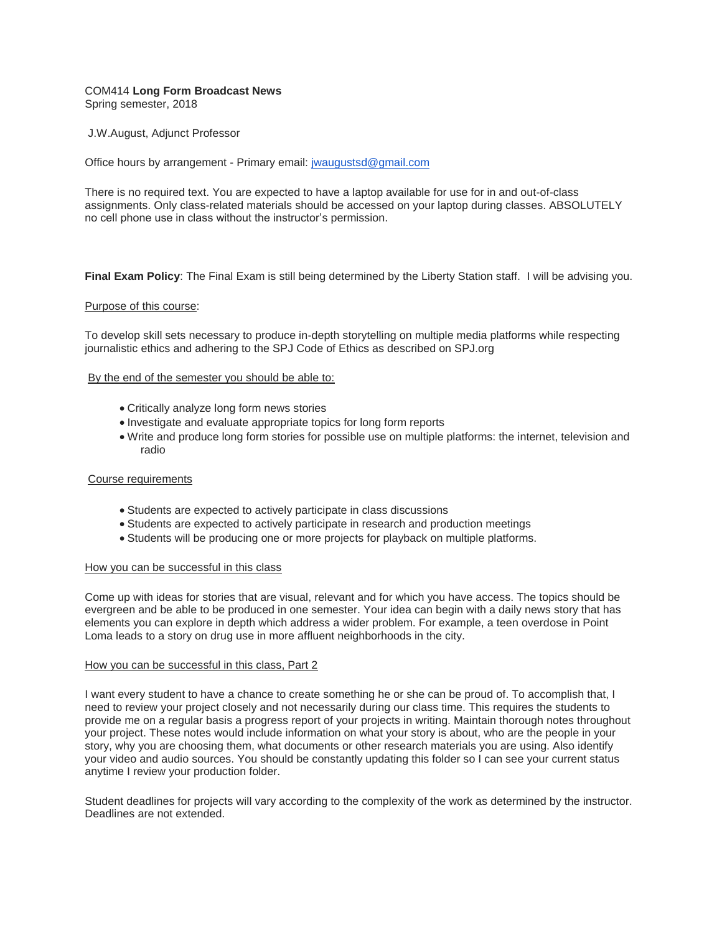# COM414 **Long Form Broadcast News** Spring semester, 2018

J.W.August, Adjunct Professor

Office hours by arrangement - Primary email: [jwaugustsd@gmail.com](mailto:jwaugustsd@gmail.com)

There is no required text. You are expected to have a laptop available for use for in and out-of-class assignments. Only class-related materials should be accessed on your laptop during classes. ABSOLUTELY no cell phone use in class without the instructor's permission.

**Final Exam Policy**: The Final Exam is still being determined by the Liberty Station staff. I will be advising you.

# Purpose of this course:

To develop skill sets necessary to produce in-depth storytelling on multiple media platforms while respecting journalistic ethics and adhering to the SPJ Code of Ethics as described on SPJ.org

# By the end of the semester you should be able to:

- Critically analyze long form news stories
- Investigate and evaluate appropriate topics for long form reports
- Write and produce long form stories for possible use on multiple platforms: the internet, television and radio

# Course requirements

- Students are expected to actively participate in class discussions
- Students are expected to actively participate in research and production meetings
- Students will be producing one or more projects for playback on multiple platforms.

# How you can be successful in this class

Come up with ideas for stories that are visual, relevant and for which you have access. The topics should be evergreen and be able to be produced in one semester. Your idea can begin with a daily news story that has elements you can explore in depth which address a wider problem. For example, a teen overdose in Point Loma leads to a story on drug use in more affluent neighborhoods in the city.

# How you can be successful in this class, Part 2

I want every student to have a chance to create something he or she can be proud of. To accomplish that, I need to review your project closely and not necessarily during our class time. This requires the students to provide me on a regular basis a progress report of your projects in writing. Maintain thorough notes throughout your project. These notes would include information on what your story is about, who are the people in your story, why you are choosing them, what documents or other research materials you are using. Also identify your video and audio sources. You should be constantly updating this folder so I can see your current status anytime I review your production folder.

Student deadlines for projects will vary according to the complexity of the work as determined by the instructor. Deadlines are not extended.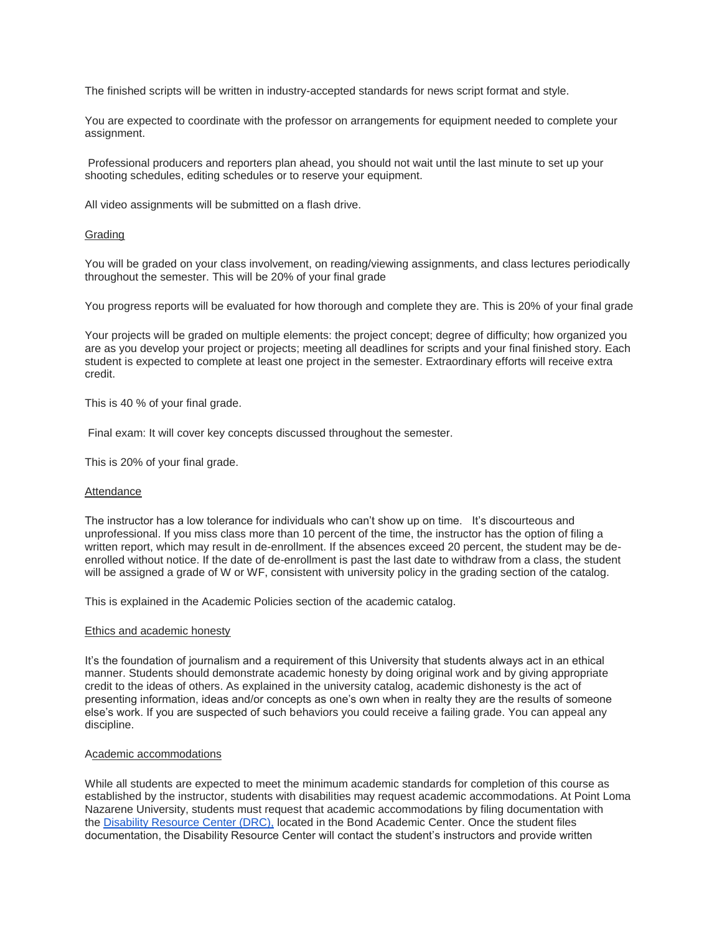The finished scripts will be written in industry-accepted standards for news script format and style.

You are expected to coordinate with the professor on arrangements for equipment needed to complete your assignment.

Professional producers and reporters plan ahead, you should not wait until the last minute to set up your shooting schedules, editing schedules or to reserve your equipment.

All video assignments will be submitted on a flash drive.

# Grading

You will be graded on your class involvement, on reading/viewing assignments, and class lectures periodically throughout the semester. This will be 20% of your final grade

You progress reports will be evaluated for how thorough and complete they are. This is 20% of your final grade

Your projects will be graded on multiple elements: the project concept; degree of difficulty; how organized you are as you develop your project or projects; meeting all deadlines for scripts and your final finished story. Each student is expected to complete at least one project in the semester. Extraordinary efforts will receive extra credit.

This is 40 % of your final grade.

Final exam: It will cover key concepts discussed throughout the semester.

This is 20% of your final grade.

# Attendance

The instructor has a low tolerance for individuals who can't show up on time. It's discourteous and unprofessional. If you miss class more than 10 percent of the time, the instructor has the option of filing a written report, which may result in de-enrollment. If the absences exceed 20 percent, the student may be deenrolled without notice. If the date of de-enrollment is past the last date to withdraw from a class, the student will be assigned a grade of W or WF, consistent with university policy in the grading section of the catalog.

This is explained in the Academic Policies section of the academic catalog.

# Ethics and academic honesty

It's the foundation of journalism and a requirement of this University that students always act in an ethical manner. Students should demonstrate academic honesty by doing original work and by giving appropriate credit to the ideas of others. As explained in the university catalog, academic dishonesty is the act of presenting information, ideas and/or concepts as one's own when in realty they are the results of someone else's work. If you are suspected of such behaviors you could receive a failing grade. You can appeal any discipline.

# Academic accommodations

While all students are expected to meet the minimum academic standards for completion of this course as established by the instructor, students with disabilities may request academic accommodations. At Point Loma Nazarene University, students must request that academic accommodations by filing documentation with the [Disability Resource Center \(DRC\),](http://www.pointloma.edu/experience/offices/administrative-offices/academic-advising-office/disability-resource-center) located in the Bond Academic Center. Once the student files documentation, the Disability Resource Center will contact the student's instructors and provide written